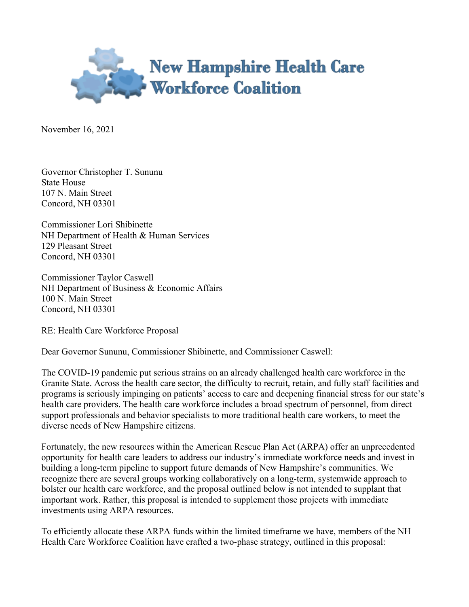

November 16, 2021

Governor Christopher T. Sununu State House 107 N. Main Street Concord, NH 03301

Commissioner Lori Shibinette NH Department of Health & Human Services 129 Pleasant Street Concord, NH 03301

Commissioner Taylor Caswell NH Department of Business & Economic Affairs 100 N. Main Street Concord, NH 03301

RE: Health Care Workforce Proposal

Dear Governor Sununu, Commissioner Shibinette, and Commissioner Caswell:

The COVID-19 pandemic put serious strains on an already challenged health care workforce in the Granite State. Across the health care sector, the difficulty to recruit, retain, and fully staff facilities and programs is seriously impinging on patients' access to care and deepening financial stress for our state's health care providers. The health care workforce includes a broad spectrum of personnel, from direct support professionals and behavior specialists to more traditional health care workers, to meet the diverse needs of New Hampshire citizens.

Fortunately, the new resources within the American Rescue Plan Act (ARPA) offer an unprecedented opportunity for health care leaders to address our industry's immediate workforce needs and invest in building a long-term pipeline to support future demands of New Hampshire's communities. We recognize there are several groups working collaboratively on a long-term, systemwide approach to bolster our health care workforce, and the proposal outlined below is not intended to supplant that important work. Rather, this proposal is intended to supplement those projects with immediate investments using ARPA resources.

To efficiently allocate these ARPA funds within the limited timeframe we have, members of the NH Health Care Workforce Coalition have crafted a two-phase strategy, outlined in this proposal: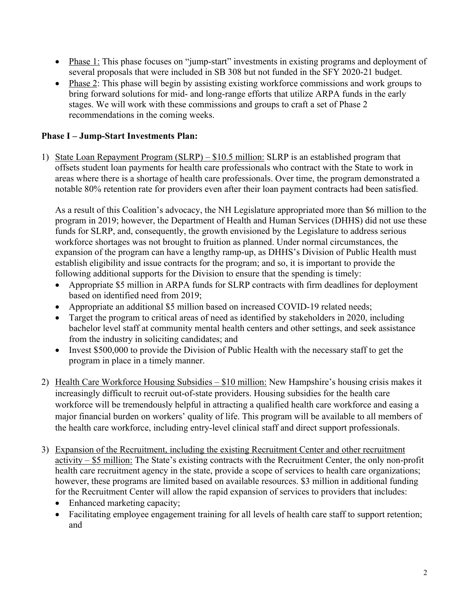- Phase 1: This phase focuses on "jump-start" investments in existing programs and deployment of several proposals that were included in SB 308 but not funded in the SFY 2020-21 budget.
- Phase 2: This phase will begin by assisting existing workforce commissions and work groups to bring forward solutions for mid- and long-range efforts that utilize ARPA funds in the early stages. We will work with these commissions and groups to craft a set of Phase 2 recommendations in the coming weeks.

## **Phase I – Jump-Start Investments Plan:**

1) State Loan Repayment Program (SLRP) – \$10.5 million: SLRP is an established program that offsets student loan payments for health care professionals who contract with the State to work in areas where there is a shortage of health care professionals. Over time, the program demonstrated a notable 80% retention rate for providers even after their loan payment contracts had been satisfied.

As a result of this Coalition's advocacy, the NH Legislature appropriated more than \$6 million to the program in 2019; however, the Department of Health and Human Services (DHHS) did not use these funds for SLRP, and, consequently, the growth envisioned by the Legislature to address serious workforce shortages was not brought to fruition as planned. Under normal circumstances, the expansion of the program can have a lengthy ramp-up, as DHHS's Division of Public Health must establish eligibility and issue contracts for the program; and so, it is important to provide the following additional supports for the Division to ensure that the spending is timely:

- Appropriate \$5 million in ARPA funds for SLRP contracts with firm deadlines for deployment based on identified need from 2019;
- Appropriate an additional \$5 million based on increased COVID-19 related needs;
- Target the program to critical areas of need as identified by stakeholders in 2020, including bachelor level staff at community mental health centers and other settings, and seek assistance from the industry in soliciting candidates; and
- Invest \$500,000 to provide the Division of Public Health with the necessary staff to get the program in place in a timely manner.
- 2) Health Care Workforce Housing Subsidies \$10 million: New Hampshire's housing crisis makes it increasingly difficult to recruit out-of-state providers. Housing subsidies for the health care workforce will be tremendously helpful in attracting a qualified health care workforce and easing a major financial burden on workers' quality of life. This program will be available to all members of the health care workforce, including entry-level clinical staff and direct support professionals.
- 3) Expansion of the Recruitment, including the existing Recruitment Center and other recruitment activity – \$5 million: The State's existing contracts with the Recruitment Center, the only non-profit health care recruitment agency in the state, provide a scope of services to health care organizations; however, these programs are limited based on available resources. \$3 million in additional funding for the Recruitment Center will allow the rapid expansion of services to providers that includes:
	- Enhanced marketing capacity;
	- Facilitating employee engagement training for all levels of health care staff to support retention; and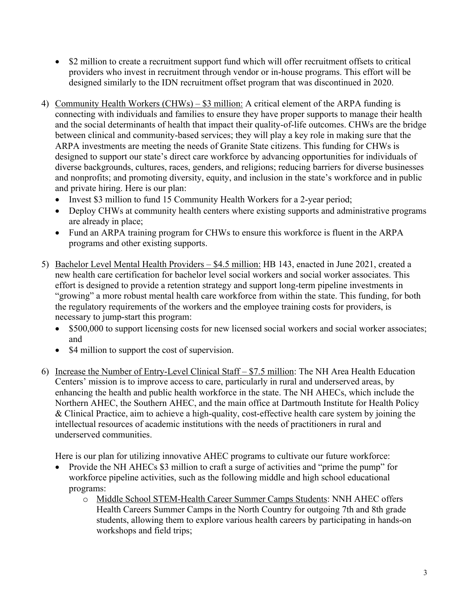- \$2 million to create a recruitment support fund which will offer recruitment offsets to critical providers who invest in recruitment through vendor or in-house programs. This effort will be designed similarly to the IDN recruitment offset program that was discontinued in 2020.
- 4) Community Health Workers (CHWs) \$3 million: A critical element of the ARPA funding is connecting with individuals and families to ensure they have proper supports to manage their health and the social determinants of health that impact their quality-of-life outcomes. CHWs are the bridge between clinical and community-based services; they will play a key role in making sure that the ARPA investments are meeting the needs of Granite State citizens. This funding for CHWs is designed to support our state's direct care workforce by advancing opportunities for individuals of diverse backgrounds, cultures, races, genders, and religions; reducing barriers for diverse businesses and nonprofits; and promoting diversity, equity, and inclusion in the state's workforce and in public and private hiring. Here is our plan:
	- Invest \$3 million to fund 15 Community Health Workers for a 2-year period;
	- Deploy CHWs at community health centers where existing supports and administrative programs are already in place;
	- Fund an ARPA training program for CHWs to ensure this workforce is fluent in the ARPA programs and other existing supports.
- 5) Bachelor Level Mental Health Providers \$4.5 million: HB 143, enacted in June 2021, created a new health care certification for bachelor level social workers and social worker associates. This effort is designed to provide a retention strategy and support long-term pipeline investments in "growing" a more robust mental health care workforce from within the state. This funding, for both the regulatory requirements of the workers and the employee training costs for providers, is necessary to jump-start this program:
	- \$500,000 to support licensing costs for new licensed social workers and social worker associates; and
	- \$4 million to support the cost of supervision.
- 6) Increase the Number of Entry-Level Clinical Staff \$7.5 million: The NH Area Health Education Centers' mission is to improve access to care, particularly in rural and underserved areas, by enhancing the health and public health workforce in the state. The NH AHECs, which include the Northern AHEC, the Southern AHEC, and the main office at Dartmouth Institute for Health Policy & Clinical Practice, aim to achieve a high-quality, cost-effective health care system by joining the intellectual resources of academic institutions with the needs of practitioners in rural and underserved communities.

Here is our plan for utilizing innovative AHEC programs to cultivate our future workforce:

- Provide the NH AHECs \$3 million to craft a surge of activities and "prime the pump" for workforce pipeline activities, such as the following middle and high school educational programs:
	- o Middle School STEM-Health Career Summer Camps Students: NNH AHEC offers Health Careers Summer Camps in the North Country for outgoing 7th and 8th grade students, allowing them to explore various health careers by participating in hands-on workshops and field trips;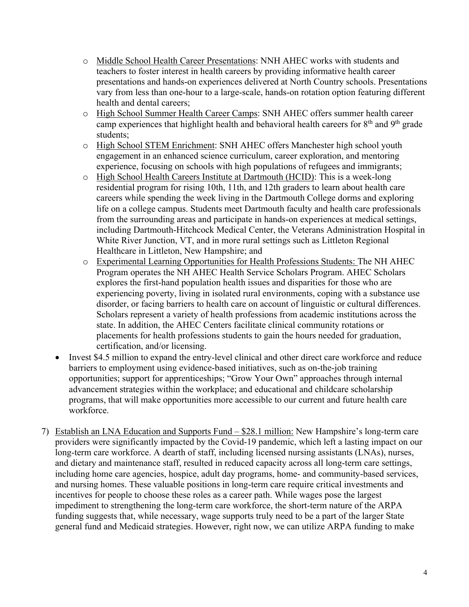- o Middle School Health Career Presentations: NNH AHEC works with students and teachers to foster interest in health careers by providing informative health career presentations and hands-on experiences delivered at North Country schools. Presentations vary from less than one-hour to a large-scale, hands-on rotation option featuring different health and dental careers;
- o High School Summer Health Career Camps: SNH AHEC offers summer health career camp experiences that highlight health and behavioral health careers for  $8<sup>th</sup>$  and  $9<sup>th</sup>$  grade students;
- o High School STEM Enrichment: SNH AHEC offers Manchester high school youth engagement in an enhanced science curriculum, career exploration, and mentoring experience, focusing on schools with high populations of refugees and immigrants;
- o High School Health Careers Institute at Dartmouth (HCID): This is a week-long residential program for rising 10th, 11th, and 12th graders to learn about health care careers while spending the week living in the Dartmouth College dorms and exploring life on a college campus. Students meet Dartmouth faculty and health care professionals from the surrounding areas and participate in hands-on experiences at medical settings, including Dartmouth-Hitchcock Medical Center, the Veterans Administration Hospital in White River Junction, VT, and in more rural settings such as Littleton Regional Healthcare in Littleton, New Hampshire; and
- o Experimental Learning Opportunities for Health Professions Students: The NH AHEC Program operates the NH AHEC Health Service Scholars Program. AHEC Scholars explores the first-hand population health issues and disparities for those who are experiencing poverty, living in isolated rural environments, coping with a substance use disorder, or facing barriers to health care on account of linguistic or cultural differences. Scholars represent a variety of health professions from academic institutions across the state. In addition, the AHEC Centers facilitate clinical community rotations or placements for health professions students to gain the hours needed for graduation, certification, and/or licensing.
- Invest \$4.5 million to expand the entry-level clinical and other direct care workforce and reduce barriers to employment using evidence-based initiatives, such as on-the-job training opportunities; support for apprenticeships; "Grow Your Own" approaches through internal advancement strategies within the workplace; and educational and childcare scholarship programs, that will make opportunities more accessible to our current and future health care workforce.
- 7) Establish an LNA Education and Supports Fund \$28.1 million: New Hampshire's long-term care providers were significantly impacted by the Covid-19 pandemic, which left a lasting impact on our long-term care workforce. A dearth of staff, including licensed nursing assistants (LNAs), nurses, and dietary and maintenance staff, resulted in reduced capacity across all long-term care settings, including home care agencies, hospice, adult day programs, home- and community-based services, and nursing homes. These valuable positions in long-term care require critical investments and incentives for people to choose these roles as a career path. While wages pose the largest impediment to strengthening the long-term care workforce, the short-term nature of the ARPA funding suggests that, while necessary, wage supports truly need to be a part of the larger State general fund and Medicaid strategies. However, right now, we can utilize ARPA funding to make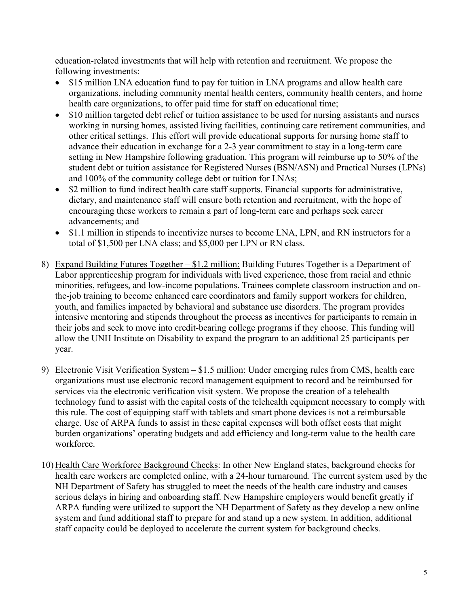education-related investments that will help with retention and recruitment. We propose the following investments:

- \$15 million LNA education fund to pay for tuition in LNA programs and allow health care organizations, including community mental health centers, community health centers, and home health care organizations, to offer paid time for staff on educational time;
- \$10 million targeted debt relief or tuition assistance to be used for nursing assistants and nurses working in nursing homes, assisted living facilities, continuing care retirement communities, and other critical settings. This effort will provide educational supports for nursing home staff to advance their education in exchange for a 2-3 year commitment to stay in a long-term care setting in New Hampshire following graduation. This program will reimburse up to 50% of the student debt or tuition assistance for Registered Nurses (BSN/ASN) and Practical Nurses (LPNs) and 100% of the community college debt or tuition for LNAs;
- \$2 million to fund indirect health care staff supports. Financial supports for administrative, dietary, and maintenance staff will ensure both retention and recruitment, with the hope of encouraging these workers to remain a part of long-term care and perhaps seek career advancements; and
- \$1.1 million in stipends to incentivize nurses to become LNA, LPN, and RN instructors for a total of \$1,500 per LNA class; and \$5,000 per LPN or RN class.
- 8) Expand Building Futures Together \$1.2 million: Building Futures Together is a Department of Labor apprenticeship program for individuals with lived experience, those from racial and ethnic minorities, refugees, and low-income populations. Trainees complete classroom instruction and onthe-job training to become enhanced care coordinators and family support workers for children, youth, and families impacted by behavioral and substance use disorders. The program provides intensive mentoring and stipends throughout the process as incentives for participants to remain in their jobs and seek to move into credit-bearing college programs if they choose. This funding will allow the UNH Institute on Disability to expand the program to an additional 25 participants per year.
- 9) Electronic Visit Verification System \$1.5 million: Under emerging rules from CMS, health care organizations must use electronic record management equipment to record and be reimbursed for services via the electronic verification visit system. We propose the creation of a telehealth technology fund to assist with the capital costs of the telehealth equipment necessary to comply with this rule. The cost of equipping staff with tablets and smart phone devices is not a reimbursable charge. Use of ARPA funds to assist in these capital expenses will both offset costs that might burden organizations' operating budgets and add efficiency and long-term value to the health care workforce.
- 10) Health Care Workforce Background Checks: In other New England states, background checks for health care workers are completed online, with a 24-hour turnaround. The current system used by the NH Department of Safety has struggled to meet the needs of the health care industry and causes serious delays in hiring and onboarding staff. New Hampshire employers would benefit greatly if ARPA funding were utilized to support the NH Department of Safety as they develop a new online system and fund additional staff to prepare for and stand up a new system. In addition, additional staff capacity could be deployed to accelerate the current system for background checks.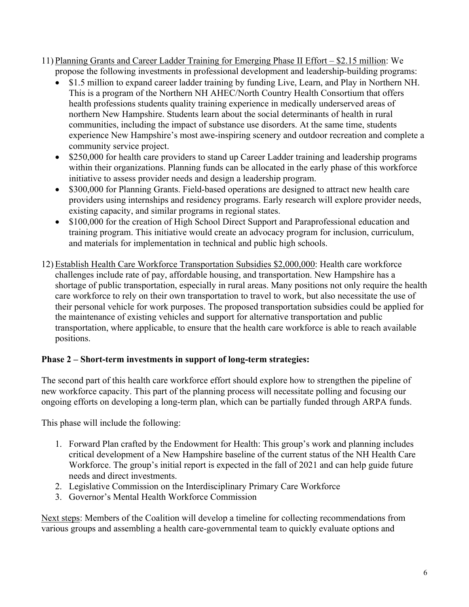- 11) Planning Grants and Career Ladder Training for Emerging Phase II Effort \$2.15 million: We propose the following investments in professional development and leadership-building programs:
	- \$1.5 million to expand career ladder training by funding Live, Learn, and Play in Northern NH. This is a program of the Northern NH AHEC/North Country Health Consortium that offers health professions students quality training experience in medically underserved areas of northern New Hampshire. Students learn about the social determinants of health in rural communities, including the impact of substance use disorders. At the same time, students experience New Hampshire's most awe-inspiring scenery and outdoor recreation and complete a community service project.
	- \$250,000 for health care providers to stand up Career Ladder training and leadership programs within their organizations. Planning funds can be allocated in the early phase of this workforce initiative to assess provider needs and design a leadership program.
	- \$300,000 for Planning Grants. Field-based operations are designed to attract new health care providers using internships and residency programs. Early research will explore provider needs, existing capacity, and similar programs in regional states.
	- \$100,000 for the creation of High School Direct Support and Paraprofessional education and training program. This initiative would create an advocacy program for inclusion, curriculum, and materials for implementation in technical and public high schools.
- 12) Establish Health Care Workforce Transportation Subsidies \$2,000,000: Health care workforce challenges include rate of pay, affordable housing, and transportation. New Hampshire has a shortage of public transportation, especially in rural areas. Many positions not only require the health care workforce to rely on their own transportation to travel to work, but also necessitate the use of their personal vehicle for work purposes. The proposed transportation subsidies could be applied for the maintenance of existing vehicles and support for alternative transportation and public transportation, where applicable, to ensure that the health care workforce is able to reach available positions.

## **Phase 2 – Short-term investments in support of long-term strategies:**

The second part of this health care workforce effort should explore how to strengthen the pipeline of new workforce capacity. This part of the planning process will necessitate polling and focusing our ongoing efforts on developing a long-term plan, which can be partially funded through ARPA funds.

This phase will include the following:

- 1. Forward Plan crafted by the Endowment for Health: This group's work and planning includes critical development of a New Hampshire baseline of the current status of the NH Health Care Workforce. The group's initial report is expected in the fall of 2021 and can help guide future needs and direct investments.
- 2. Legislative Commission on the Interdisciplinary Primary Care Workforce
- 3. Governor's Mental Health Workforce Commission

Next steps: Members of the Coalition will develop a timeline for collecting recommendations from various groups and assembling a health care-governmental team to quickly evaluate options and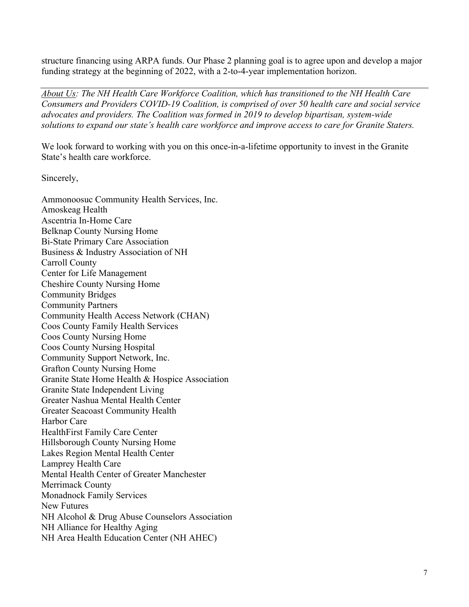structure financing using ARPA funds. Our Phase 2 planning goal is to agree upon and develop a major funding strategy at the beginning of 2022, with a 2-to-4-year implementation horizon.

*About Us: The NH Health Care Workforce Coalition, which has transitioned to the NH Health Care Consumers and Providers COVID-19 Coalition, is comprised of over 50 health care and social service advocates and providers. The Coalition was formed in 2019 to develop bipartisan, system-wide solutions to expand our state's health care workforce and improve access to care for Granite Staters.* 

We look forward to working with you on this once-in-a-lifetime opportunity to invest in the Granite State's health care workforce.

Sincerely,

Ammonoosuc Community Health Services, Inc. Amoskeag Health Ascentria In-Home Care Belknap County Nursing Home Bi-State Primary Care Association Business & Industry Association of NH Carroll County Center for Life Management Cheshire County Nursing Home Community Bridges Community Partners Community Health Access Network (CHAN) Coos County Family Health Services Coos County Nursing Home Coos County Nursing Hospital Community Support Network, Inc. Grafton County Nursing Home Granite State Home Health & Hospice Association Granite State Independent Living Greater Nashua Mental Health Center Greater Seacoast Community Health Harbor Care HealthFirst Family Care Center Hillsborough County Nursing Home Lakes Region Mental Health Center Lamprey Health Care Mental Health Center of Greater Manchester Merrimack County Monadnock Family Services New Futures NH Alcohol & Drug Abuse Counselors Association NH Alliance for Healthy Aging NH Area Health Education Center (NH AHEC)